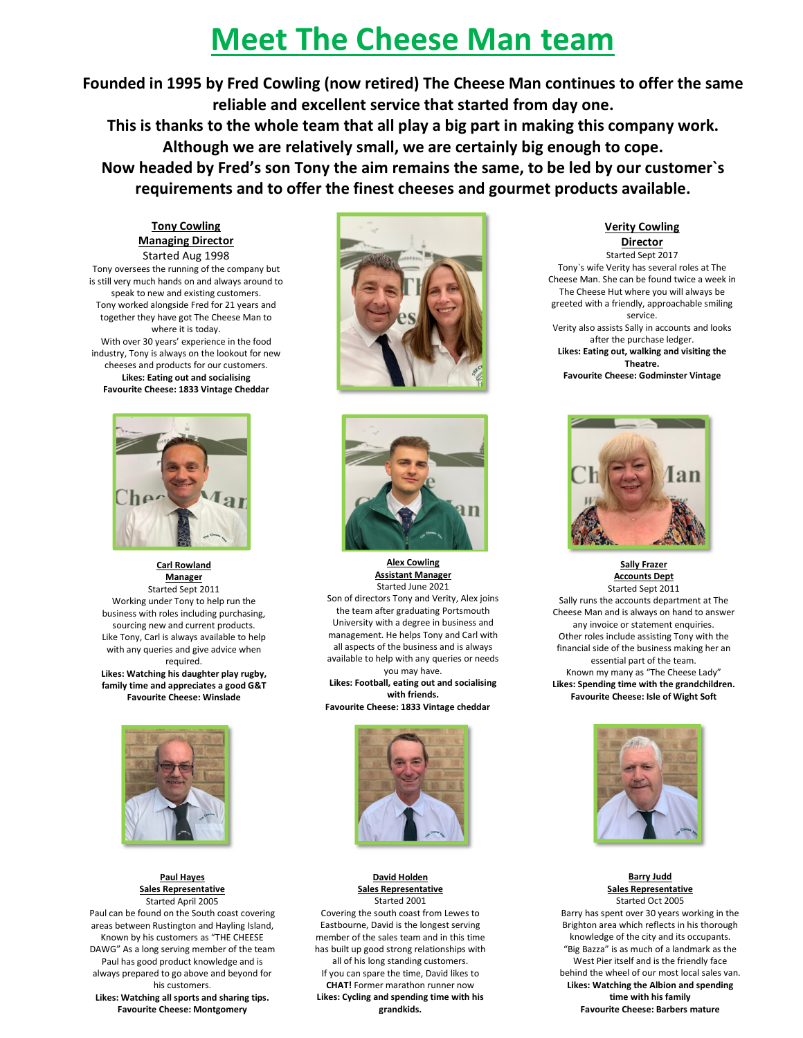## **Meet The Cheese Man team**

**Founded in 1995 by Fred Cowling (now retired) The Cheese Man continues to offer the same reliable and excellent service that started from day one.**

**This is thanks to the whole team that all play a big part in making this company work. Although we are relatively small, we are certainly big enough to cope.** 

**Now headed by Fred's son Tony the aim remains the same, to be led by our customer`s requirements and to offer the finest cheeses and gourmet products available.** 

## **Tony Cowling Managing Director**

Started Aug 1998 Tony oversees the running of the company but is still very much hands on and always around to speak to new and existing customers. Tony worked alongside Fred for 21 years and together they have got The Cheese Man to where it is today. With over 30 years' experience in the food industry, Tony is always on the lookout for new cheeses and products for our customers.

**Likes: Eating out and socialising Favourite Cheese: 1833 Vintage Cheddar**



**Carl Rowland Manager**  Started Sept 2011 Working under Tony to help run the business with roles including purchasing, sourcing new and current products. Like Tony, Carl is always available to help with any queries and give advice when required. **Likes: Watching his daughter play rugby, family time and appreciates a good G&T** 

**Favourite Cheese: Winslade** 



**Paul Hayes Sales Representative**  Started April 2005

Paul can be found on the South coast covering areas between Rustington and Hayling Island, Known by his customers as "THE CHEESE DAWG" As a long serving member of the team Paul has good product knowledge and is always prepared to go above and beyond for his customers. **Likes: Watching all sports and sharing tips. Favourite Cheese: Montgomery**





**Alex Cowling Assistant Manager**  Started June 2021 Son of directors Tony and Verity, Alex joins

the team after graduating Portsmouth University with a degree in business and management. He helps Tony and Carl with all aspects of the business and is always available to help with any queries or needs you may have.

**Likes: Football, eating out and socialising with friends. Favourite Cheese: 1833 Vintage cheddar**



**David Holden Sales Representative**  Started 2001

Covering the south coast from Lewes to Eastbourne, David is the longest serving member of the sales team and in this time has built up good strong relationships with all of his long standing customers. If you can spare the time, David likes to **CHAT!** Former marathon runner now **Likes: Cycling and spending time with his grandkids.**

**Verity Cowling Director** 

Started Sept 2017 Tony`s wife Verity has several roles at The Cheese Man. She can be found twice a week in The Cheese Hut where you will always be greeted with a friendly, approachable smiling service. Verity also assists Sally in accounts and looks after the purchase ledger. **Likes: Eating out, walking and visiting the Theatre. Favourite Cheese: Godminster Vintage**



**Sally Frazer Accounts Dept**  Started Sept 2011

Sally runs the accounts department at The Cheese Man and is always on hand to answer any invoice or statement enquiries. Other roles include assisting Tony with the financial side of the business making her an essential part of the team. Known my many as "The Cheese Lady" **Likes: Spending time with the grandchildren. Favourite Cheese: Isle of Wight Soft** 



**Barry Judd Sales Representative**  Started Oct 2005 Barry has spent over 30 years working in the Brighton area which reflects in his thorough knowledge of the city and its occupants. "Big Bazza" is as much of a landmark as the West Pier itself and is the friendly face behind the wheel of our most local sales van. **Likes: Watching the Albion and spending time with his family Favourite Cheese: Barbers mature**